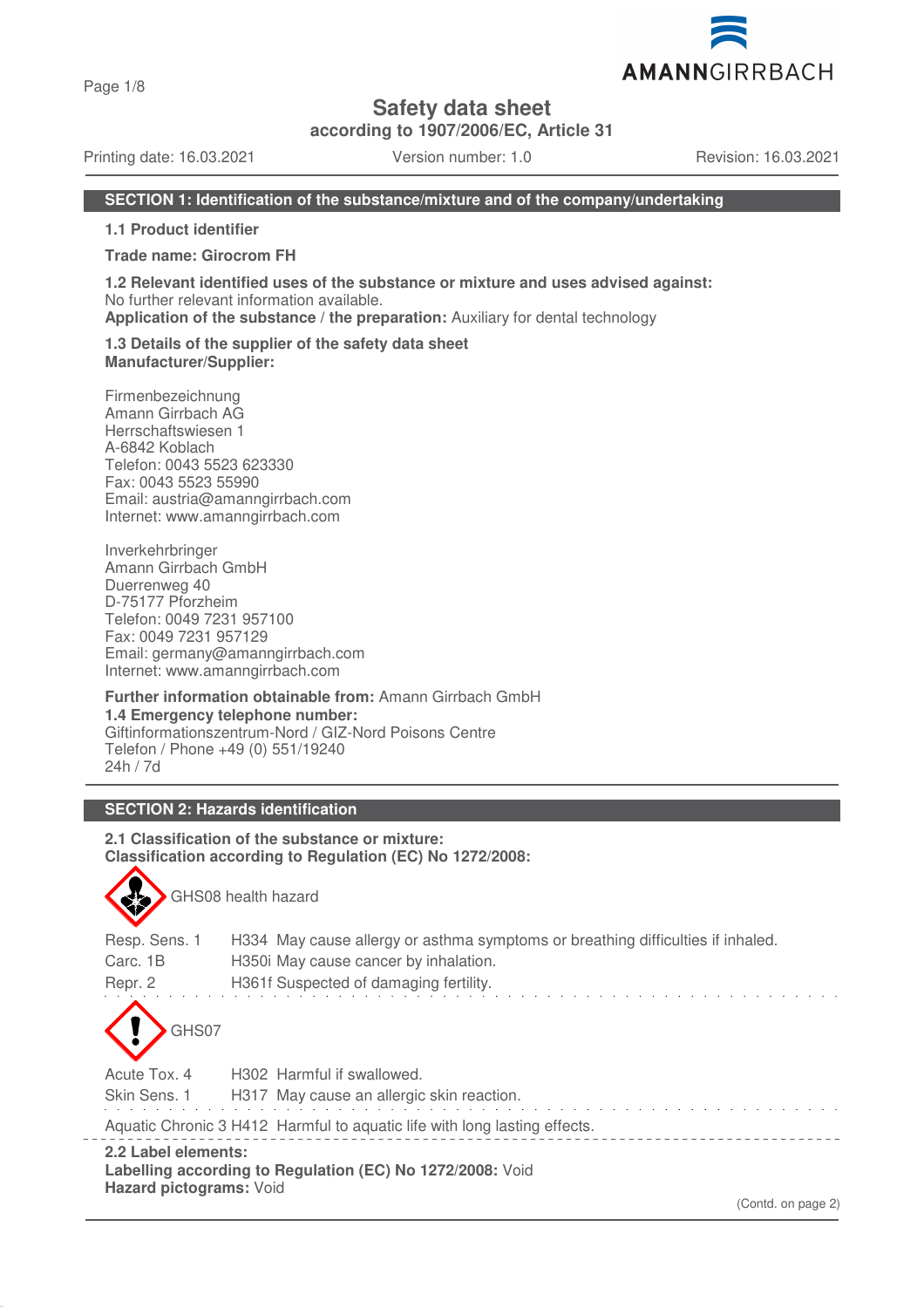Page 1/8

**Safety data sheet**

**according to 1907/2006/EC, Article 31**

Printing date: 16.03.2021 Version number: 1.0 Revision: 16.03.2021

## **SECTION 1: Identification of the substance/mixture and of the company/undertaking**

**1.1 Product identifier**

#### **Trade name: Girocrom FH**

**1.2 Relevant identified uses of the substance or mixture and uses advised against:** No further relevant information available.

**Application of the substance / the preparation:** Auxiliary for dental technology

#### **1.3 Details of the supplier of the safety data sheet Manufacturer/Supplier:**

Firmenbezeichnung Amann Girrbach AG Herrschaftswiesen 1 A-6842 Koblach Telefon: 0043 5523 623330 Fax: 0043 5523 55990 Email: austria@amanngirrbach.com Internet: www.amanngirrbach.com

Inverkehrbringer Amann Girrbach GmbH Duerrenweg 40 D-75177 Pforzheim Telefon: 0049 7231 957100 Fax: 0049 7231 957129 Email: germany@amanngirrbach.com Internet: www.amanngirrbach.com

**Further information obtainable from:** Amann Girrbach GmbH **1.4 Emergency telephone number:** Giftinformationszentrum-Nord / GIZ-Nord Poisons Centre Telefon / Phone +49 (0) 551/19240 24h / 7d

# **SECTION 2: Hazards identification**

GHS08 health hazard

**2.1 Classification of the substance or mixture: Classification according to Regulation (EC) No 1272/2008:**

| Resp. Sens. 1                                  | H334 May cause allergy or asthma symptoms or breathing difficulties if inhaled. |
|------------------------------------------------|---------------------------------------------------------------------------------|
| Carc. 1B                                       | H350 May cause cancer by inhalation.                                            |
| Repr. 2                                        | H361f Suspected of damaging fertility.                                          |
| GHS07                                          |                                                                                 |
| Acute Tox, 4                                   | H <sub>302</sub> Harmful if swallowed.                                          |
| Skin Sens. 1                                   | H317 May cause an allergic skin reaction.                                       |
|                                                | Aquatic Chronic 3 H412 Harmful to aquatic life with long lasting effects.       |
| 2.2 Label elements:<br>Hazard pictograms: Void | Labelling according to Regulation (EC) No 1272/2008: Void                       |

(Contd. on page 2)

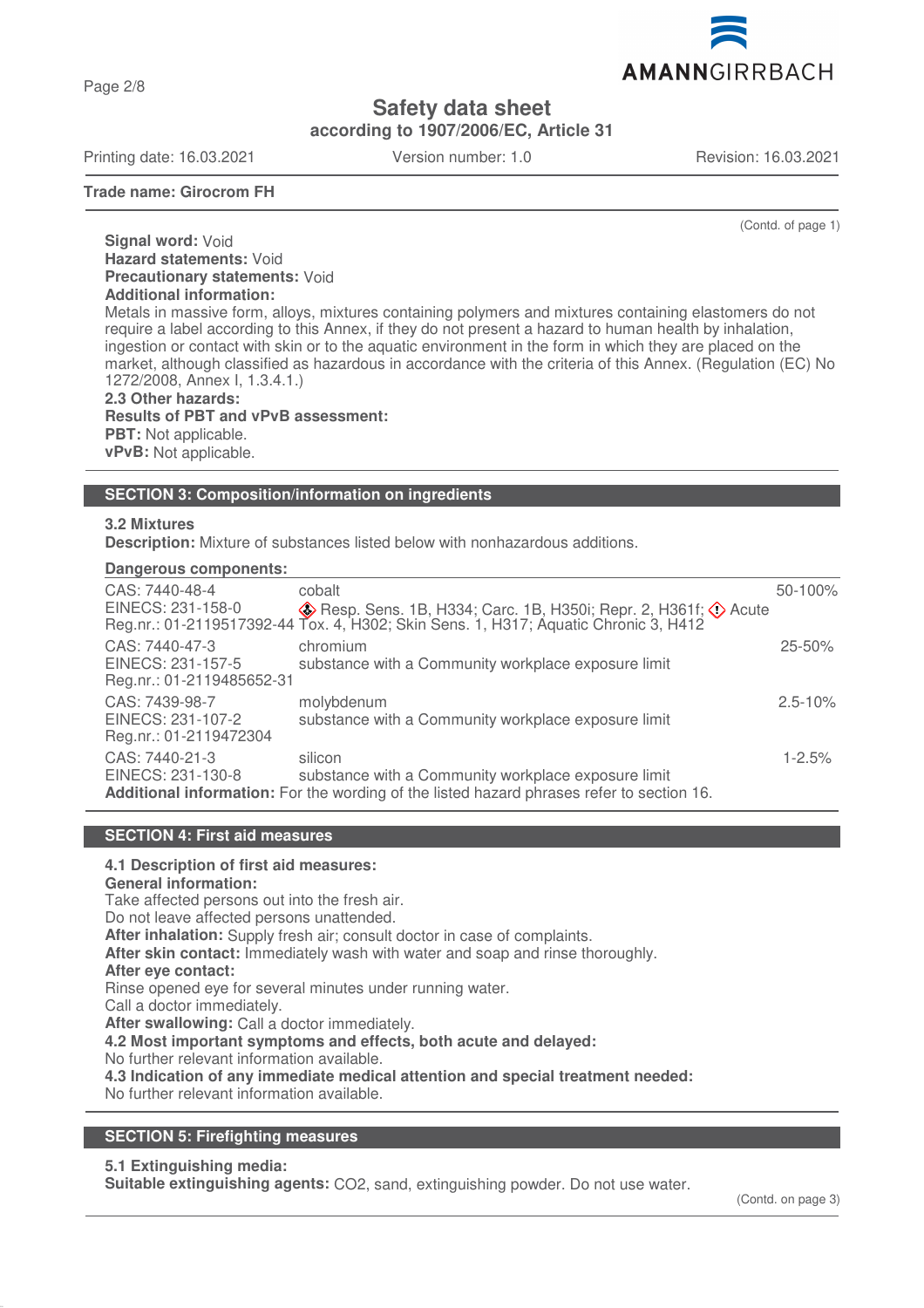Page 2/8

**Safety data sheet**

**according to 1907/2006/EC, Article 31**

Printing date: 16.03.2021 Version number: 1.0 Revision: 16.03.2021

**Trade name: Girocrom FH**

(Contd. of page 1)

**Signal word:** Void **Hazard statements:** Void **Precautionary statements:** Void **Additional information:** Metals in massive form, alloys, mixtures containing polymers and mixtures containing elastomers do not

require a label according to this Annex, if they do not present a hazard to human health by inhalation, ingestion or contact with skin or to the aquatic environment in the form in which they are placed on the market, although classified as hazardous in accordance with the criteria of this Annex. (Regulation (EC) No 1272/2008, Annex I, 1.3.4.1.)

**2.3 Other hazards: Results of PBT and vPvB assessment: PBT:** Not applicable. **vPvB:** Not applicable.

#### **SECTION 3: Composition/information on ingredients**

## **3.2 Mixtures**

**Description:** Mixture of substances listed below with nonhazardous additions.

## **Dangerous components:**

| CAS: 7440-48-4                                                | cobalt                                                                                                                                                                            | 50-100%     |
|---------------------------------------------------------------|-----------------------------------------------------------------------------------------------------------------------------------------------------------------------------------|-------------|
| EINECS: 231-158-0                                             | $\diamondsuit$ Resp. Sens. 1B, H334; Carc. 1B, H350i; Repr. 2, H361f; $\diamondsuit$ Acute<br>Reg.nr.: 01-2119517392-44 Tox. 4, H302; Skin Sens. 1, H317; Aquatic Chronic 3, H412 |             |
| CAS: 7440-47-3                                                | chromium                                                                                                                                                                          | $25 - 50\%$ |
| EINECS: 231-157-5<br>Reg.nr.: 01-2119485652-31                | substance with a Community workplace exposure limit                                                                                                                               |             |
| CAS: 7439-98-7<br>EINECS: 231-107-2<br>Reg.nr.: 01-2119472304 | molybdenum<br>substance with a Community workplace exposure limit                                                                                                                 | $2.5 - 10%$ |
| CAS: 7440-21-3<br>EINECS: 231-130-8                           | silicon<br>substance with a Community workplace exposure limit<br>Additional information: For the wording of the listed hazard phrases refer to section 16.                       | $1 - 2.5%$  |
|                                                               |                                                                                                                                                                                   |             |

# **SECTION 4: First aid measures**

**4.1 Description of first aid measures:**

# **General information:**

Take affected persons out into the fresh air.

Do not leave affected persons unattended.

**After inhalation:** Supply fresh air; consult doctor in case of complaints.

**After skin contact:** Immediately wash with water and soap and rinse thoroughly.

#### **After eye contact:**

Rinse opened eye for several minutes under running water.

Call a doctor immediately.

**After swallowing:** Call a doctor immediately.

**4.2 Most important symptoms and effects, both acute and delayed:**

No further relevant information available.

**4.3 Indication of any immediate medical attention and special treatment needed:**

No further relevant information available.

### **SECTION 5: Firefighting measures**

#### **5.1 Extinguishing media:**

**Suitable extinguishing agents:** CO2, sand, extinguishing powder. Do not use water.

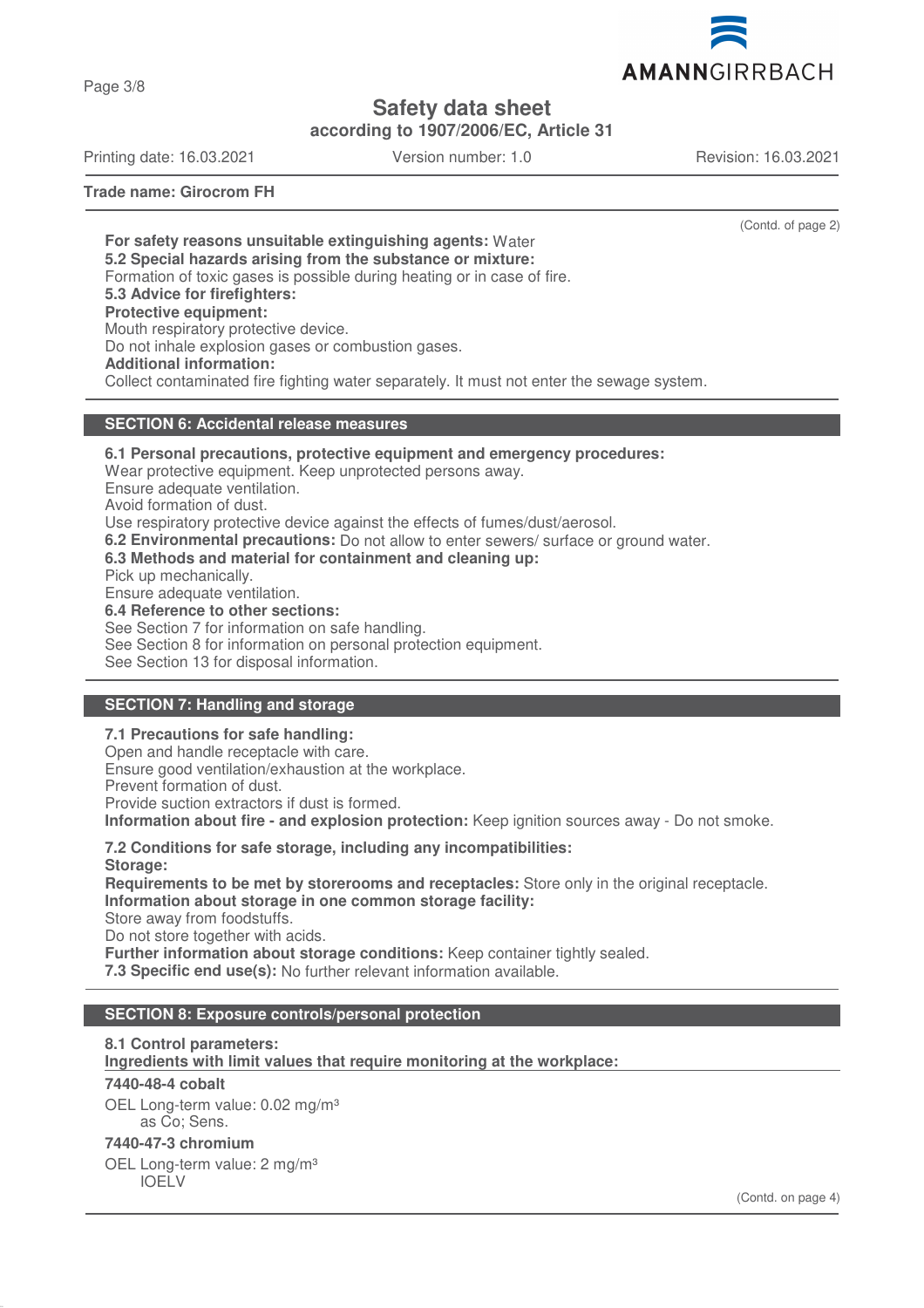

**Safety data sheet**

**according to 1907/2006/EC, Article 31**

Printing date: 16.03.2021 Version number: 1.0 Revision: 16.03.2021

Page 3/8

**Trade name: Girocrom FH**

(Contd. of page 2)

**For safety reasons unsuitable extinguishing agents:** Water **5.2 Special hazards arising from the substance or mixture:** Formation of toxic gases is possible during heating or in case of fire. **5.3 Advice for firefighters: Protective equipment:** Mouth respiratory protective device. Do not inhale explosion gases or combustion gases. **Additional information:** Collect contaminated fire fighting water separately. It must not enter the sewage system.

## **SECTION 6: Accidental release measures**

**6.1 Personal precautions, protective equipment and emergency procedures:** Wear protective equipment. Keep unprotected persons away.

Ensure adequate ventilation.

Avoid formation of dust.

Use respiratory protective device against the effects of fumes/dust/aerosol.

**6.2 Environmental precautions:** Do not allow to enter sewers/ surface or ground water.

**6.3 Methods and material for containment and cleaning up:**

Pick up mechanically.

Ensure adequate ventilation.

**6.4 Reference to other sections:**

See Section 7 for information on safe handling.

See Section 8 for information on personal protection equipment.

See Section 13 for disposal information.

# **SECTION 7: Handling and storage**

**7.1 Precautions for safe handling:** Open and handle receptacle with care. Ensure good ventilation/exhaustion at the workplace. Prevent formation of dust. Provide suction extractors if dust is formed. **Information about fire - and explosion protection:** Keep ignition sources away - Do not smoke.

**7.2 Conditions for safe storage, including any incompatibilities: Storage: Requirements to be met by storerooms and receptacles:** Store only in the original receptacle. **Information about storage in one common storage facility:** Store away from foodstuffs. Do not store together with acids. **Further information about storage conditions:** Keep container tightly sealed. **7.3 Specific end use(s):** No further relevant information available.

# **SECTION 8: Exposure controls/personal protection**

# **8.1 Control parameters:**

**Ingredients with limit values that require monitoring at the workplace:** 

#### **7440-48-4 cobalt**

OEL Long-term value: 0.02 mg/m<sup>3</sup> as Co; Sens.

#### **7440-47-3 chromium**

OEL Long-term value: 2 mg/m<sup>3</sup> IOELV

(Contd. on page 4)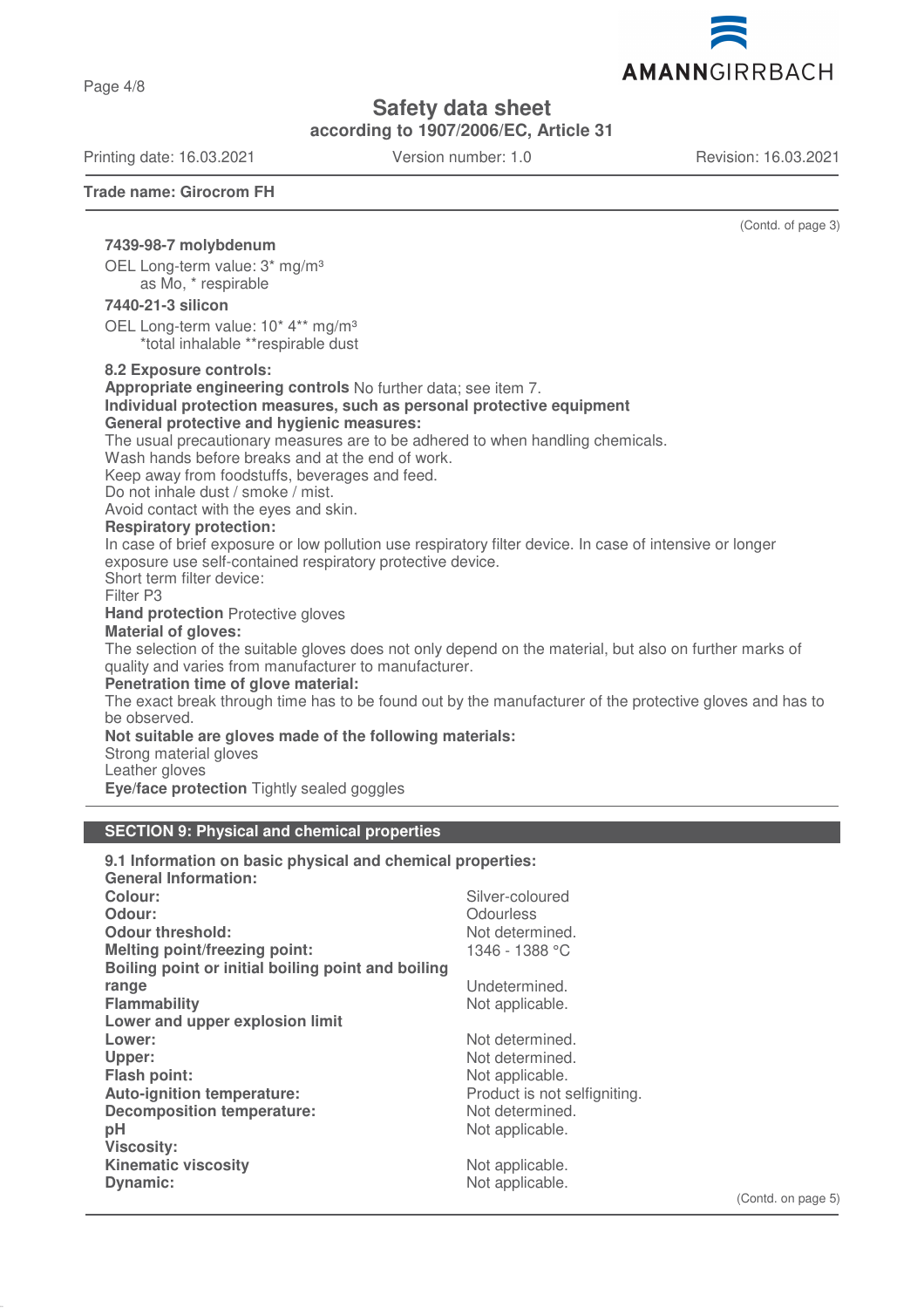Page 4/8

**Safety data sheet**

**according to 1907/2006/EC, Article 31**

Printing date: 16.03.2021 Version number: 1.0 Revision: 16.03.2021

**Trade name: Girocrom FH**

(Contd. of page 3)

## **7439-98-7 molybdenum**

OEL Long-term value: 3\* mg/m³ as Mo, \* respirable

#### **7440-21-3 silicon**

OEL Long-term value: 10<sup>\*</sup> 4<sup>\*\*</sup> mg/m<sup>3</sup> \*total inhalable \*\*respirable dust

#### **8.2 Exposure controls:**

**Appropriate engineering controls** No further data; see item 7. **Individual protection measures, such as personal protective equipment General protective and hygienic measures:** The usual precautionary measures are to be adhered to when handling chemicals. Wash hands before breaks and at the end of work. Keep away from foodstuffs, beverages and feed. Do not inhale dust / smoke / mist. Avoid contact with the eyes and skin. **Respiratory protection:** In case of brief exposure or low pollution use respiratory filter device. In case of intensive or longer exposure use self-contained respiratory protective device. Short term filter device: Filter P3 **Hand protection** Protective gloves **Material of gloves:** The selection of the suitable gloves does not only depend on the material, but also on further marks of quality and varies from manufacturer to manufacturer. **Penetration time of glove material:** The exact break through time has to be found out by the manufacturer of the protective gloves and has to be observed. **Not suitable are gloves made of the following materials:** Strong material gloves Leather gloves

**Eye/face protection** Tightly sealed goggles

#### **SECTION 9: Physical and chemical properties**

# **9.1 Information on basic physical and chemical properties: General Information:** Silver-coloured **Odour:** Odourless **Odour threshold:** Not determined. **Melting point/freezing point:** 1346 - 1388 °C **Boiling point or initial boiling point and boiling range** Undetermined. **Flammability** Not applicable. **Lower and upper explosion limit Lower:** Not determined. Upper: Not determined. **Flash point:** Not applicable. Auto-ignition temperature: **Auto-ignition temperature:** Product is not selfigniting. **Decomposition temperature:** Not determined. **pH** Not applicable. **Viscosity: Kinematic viscosity Not applicable.** Not applicable. **Dynamic:** Not applicable.

(Contd. on page 5)

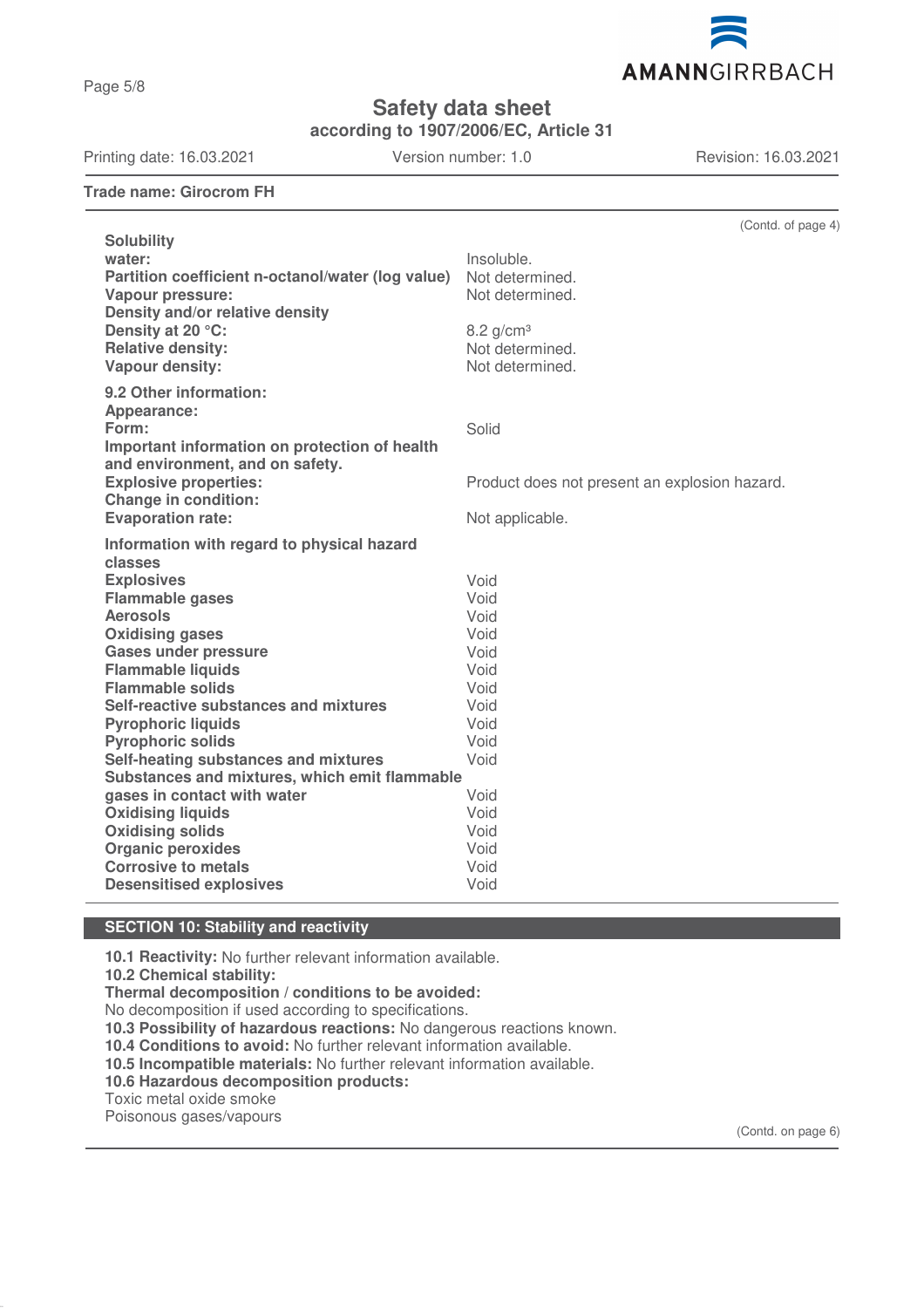AMANNGIRRBACH

**Safety data sheet**

**according to 1907/2006/EC, Article 31**

Printing date: 16.03.2021 Version number: 1.0 Revision: 16.03.2021

**Trade name: Girocrom FH**

(Contd. of page 4) **Solubility water:** Insoluble. **Partition coefficient n-octanol/water (log value)** Not determined. **Vapour pressure:** Not determined. **Density and/or relative density Density at 20 °C:** 8.2 g/cm<sup>3</sup> **Relative density:** Not determined.<br> **Vapour density:** Not determined. **Vapour density: 9.2 Other information: Appearance: Form:** Solid **Important information on protection of health and environment, and on safety. Explosive properties: Explosive properties:** Product does not present an explosion hazard. **Change in condition: Evaporation rate:** Not applicable. **Information with regard to physical hazard classes Explosives** Void **Flammable gases** Void **Aerosols** Void **Oxidising gases** Void **Gases under pressure** Void **Flammable liquids** Void<br> **Flammable solids** Void **Flammable solids Self-reactive substances and mixtures** Void **Pyrophoric liquids** Void **Pyrophoric solids Self-heating substances and mixtures** Void **Substances and mixtures, which emit flammable gases in contact with water vicing the Void Contact Water** Void Void **Oxidising liquids** Void **Oxidising solids Organic peroxides** Void **Corrosive to metals** Void **Desensitised explosives Void** 

# **SECTION 10: Stability and reactivity**

**10.1 Reactivity:** No further relevant information available.

**10.2 Chemical stability:**

**Thermal decomposition / conditions to be avoided:**

No decomposition if used according to specifications.

**10.3 Possibility of hazardous reactions:** No dangerous reactions known.

**10.4 Conditions to avoid:** No further relevant information available.

**10.5 Incompatible materials:** No further relevant information available.

**10.6 Hazardous decomposition products:**

Toxic metal oxide smoke

Poisonous gases/vapours

(Contd. on page 6)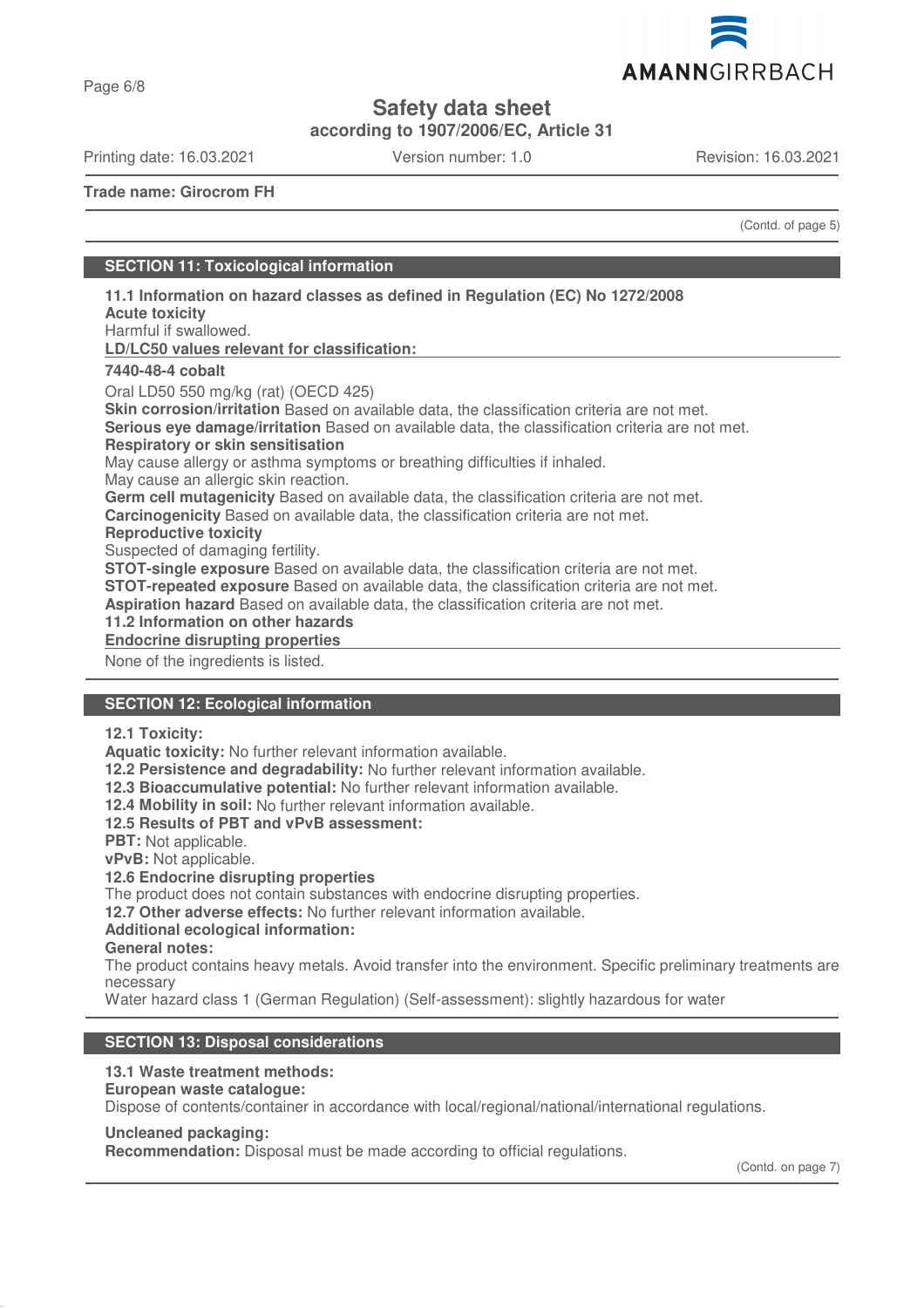

**Safety data sheet**

**according to 1907/2006/EC, Article 31**

Printing date: 16.03.2021 Version number: 1.0 Revision: 16.03.2021

AMANNGIRRBACH

**Trade name: Girocrom FH**

(Contd. of page 5)

## **SECTION 11: Toxicological information**

**Acute toxicity** Harmful if swallowed. **LD/LC50 values relevant for classification: 7440-48-4 cobalt** Oral LD50 550 mg/kg (rat) (OECD 425) **Skin corrosion/irritation** Based on available data, the classification criteria are not met. **Serious eye damage/irritation** Based on available data, the classification criteria are not met. **Respiratory or skin sensitisation** May cause allergy or asthma symptoms or breathing difficulties if inhaled. May cause an allergic skin reaction. **Germ cell mutagenicity** Based on available data, the classification criteria are not met. **Carcinogenicity** Based on available data, the classification criteria are not met. **Reproductive toxicity** Suspected of damaging fertility. **STOT-single exposure** Based on available data, the classification criteria are not met.

**11.1 Information on hazard classes as defined in Regulation (EC) No 1272/2008**

**STOT-repeated exposure** Based on available data, the classification criteria are not met.

**Aspiration hazard** Based on available data, the classification criteria are not met.

**11.2 Information on other hazards**

**Endocrine disrupting properties** 

None of the ingredients is listed.

## **SECTION 12: Ecological information**

**12.1 Toxicity:**

**Aquatic toxicity:** No further relevant information available.

**12.2 Persistence and degradability:** No further relevant information available.

**12.3 Bioaccumulative potential:** No further relevant information available.

**12.4 Mobility in soil:** No further relevant information available.

#### **12.5 Results of PBT and vPvB assessment:**

**PBT:** Not applicable.

**vPvB:** Not applicable.

**12.6 Endocrine disrupting properties**

The product does not contain substances with endocrine disrupting properties.

**12.7 Other adverse effects:** No further relevant information available.

# **Additional ecological information:**

**General notes:**

The product contains heavy metals. Avoid transfer into the environment. Specific preliminary treatments are necessary

Water hazard class 1 (German Regulation) (Self-assessment): slightly hazardous for water

# **SECTION 13: Disposal considerations**

# **13.1 Waste treatment methods:**

# **European waste catalogue:**

Dispose of contents/container in accordance with local/regional/national/international regulations.

# **Uncleaned packaging:**

**Recommendation:** Disposal must be made according to official regulations.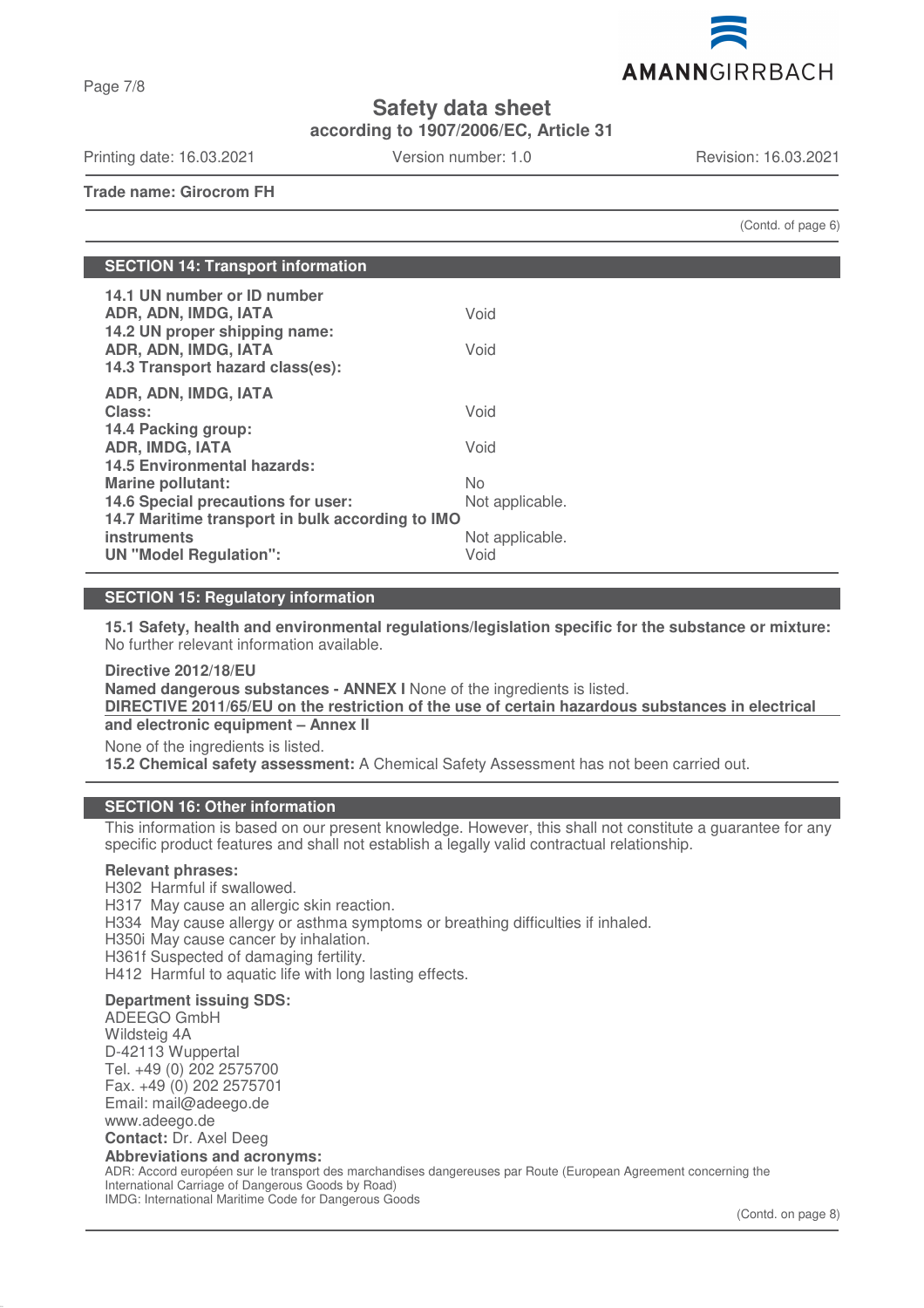AMANNGIRRBACH

**Safety data sheet**

**according to 1907/2006/EC, Article 31**

Printing date: 16.03.2021 Version number: 1.0 Revision: 16.03.2021

Page 7/8

**Trade name: Girocrom FH**

(Contd. of page 6)

| <b>SECTION 14: Transport information</b>                                                                                                                                                                 |                                                   |  |  |
|----------------------------------------------------------------------------------------------------------------------------------------------------------------------------------------------------------|---------------------------------------------------|--|--|
| 14.1 UN number or ID number<br>ADR, ADN, IMDG, IATA<br>14.2 UN proper shipping name:<br>ADR, ADN, IMDG, IATA<br>14.3 Transport hazard class(es):                                                         | Void<br>Void                                      |  |  |
| ADR, ADN, IMDG, IATA<br>Class:<br>14.4 Packing group:<br><b>ADR, IMDG, IATA</b>                                                                                                                          | Void<br>Void                                      |  |  |
| <b>14.5 Environmental hazards:</b><br><b>Marine pollutant:</b><br>14.6 Special precautions for user:<br>14.7 Maritime transport in bulk according to IMO<br>instruments<br><b>UN "Model Regulation":</b> | No.<br>Not applicable.<br>Not applicable.<br>Void |  |  |

# **SECTION 15: Regulatory information**

**15.1 Safety, health and environmental regulations/legislation specific for the substance or mixture:** No further relevant information available.

**Directive 2012/18/EU Named dangerous substances - ANNEX I** None of the ingredients is listed. **DIRECTIVE 2011/65/EU on the restriction of the use of certain hazardous substances in electrical and electronic equipment – Annex II** None of the ingredients is listed. **15.2 Chemical safety assessment:** A Chemical Safety Assessment has not been carried out.

# **SECTION 16: Other information**

This information is based on our present knowledge. However, this shall not constitute a guarantee for any specific product features and shall not establish a legally valid contractual relationship.

#### **Relevant phrases:**

H302 Harmful if swallowed. H317 May cause an allergic skin reaction. H334 May cause allergy or asthma symptoms or breathing difficulties if inhaled. H350i May cause cancer by inhalation. H361f Suspected of damaging fertility. H412 Harmful to aquatic life with long lasting effects. **Department issuing SDS:**

ADEEGO GmbH Wildsteig 4A D-42113 Wuppertal Tel. +49 (0) 202 2575700 Fax. +49 (0) 202 2575701 Email: mail@adeego.de www.adeego.de **Contact:** Dr. Axel Deeg

#### **Abbreviations and acronyms:**

ADR: Accord européen sur le transport des marchandises dangereuses par Route (European Agreement concerning the International Carriage of Dangerous Goods by Road) IMDG: International Maritime Code for Dangerous Goods